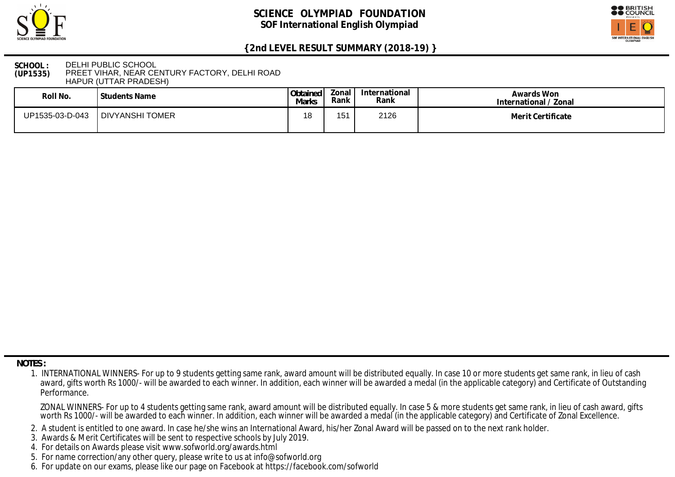



**SCHOOL : (UP1535)** DELHI PUBLIC SCHOOL PREET VIHAR, NEAR CENTURY FACTORY, DELHI ROAD HAPUR (UTTAR PRADESH)

| Roll No.        | Students Name   | Obtained<br>Marks | Zonal<br>Rank | International<br>Rank | Awards Won<br>International / Zonal |
|-----------------|-----------------|-------------------|---------------|-----------------------|-------------------------------------|
| UP1535-03-D-043 | DIVYANSHI TOMER | 1 O<br>ιo         | 1 E 1         | 2126                  | Merit Certificate                   |

 **NOTES :**

- 2. A student is entitled to one award. In case he/she wins an International Award, his/her Zonal Award will be passed on to the next rank holder.
- 3. Awards & Merit Certificates will be sent to respective schools by July 2019.
- 4. For details on Awards please visit www.sofworld.org/awards.html
- 5. For name correction/any other query, please write to us at info@sofworld.org
- 6. For update on our exams, please like our page on Facebook at https://facebook.com/sofworld

 <sup>1.</sup> INTERNATIONAL WINNERS- For up to 9 students getting same rank, award amount will be distributed equally. In case 10 or more students get same rank, in lieu of cash award, gifts worth Rs 1000/- will be awarded to each winner. In addition, each winner will be awarded a medal (in the applicable category) and Certificate of Outstanding Performance.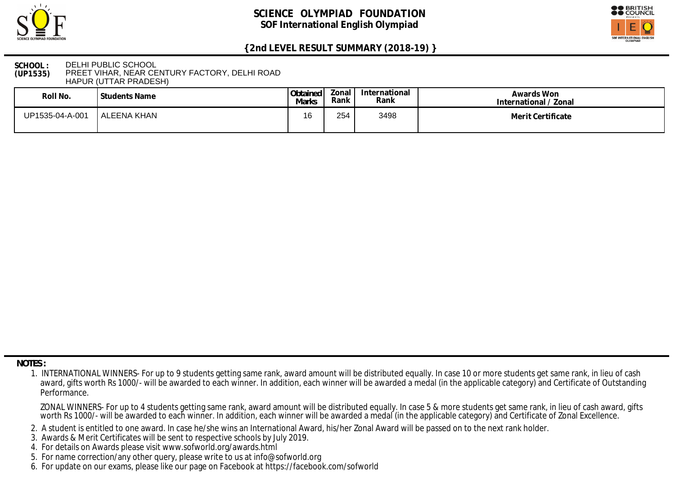



### **SCHOOL : (UP1535)** DELHI PUBLIC SCHOOL PREET VIHAR, NEAR CENTURY FACTORY, DELHI ROAD HAPUR (UTTAR PRADESH)

| Roll No.        | <b>Students Name</b> | Obtained<br>Marks | Zonal<br>Rank | International<br>Rank | Awards Won<br>International / Zonal |
|-----------------|----------------------|-------------------|---------------|-----------------------|-------------------------------------|
| UP1535-04-A-001 | l ALEENA KHAN        | 16                | 254           | 3498                  | Merit Certificate                   |

 **NOTES :**

- 2. A student is entitled to one award. In case he/she wins an International Award, his/her Zonal Award will be passed on to the next rank holder.
- 3. Awards & Merit Certificates will be sent to respective schools by July 2019.
- 4. For details on Awards please visit www.sofworld.org/awards.html
- 5. For name correction/any other query, please write to us at info@sofworld.org
- 6. For update on our exams, please like our page on Facebook at https://facebook.com/sofworld

 <sup>1.</sup> INTERNATIONAL WINNERS- For up to 9 students getting same rank, award amount will be distributed equally. In case 10 or more students get same rank, in lieu of cash award, gifts worth Rs 1000/- will be awarded to each winner. In addition, each winner will be awarded a medal (in the applicable category) and Certificate of Outstanding Performance.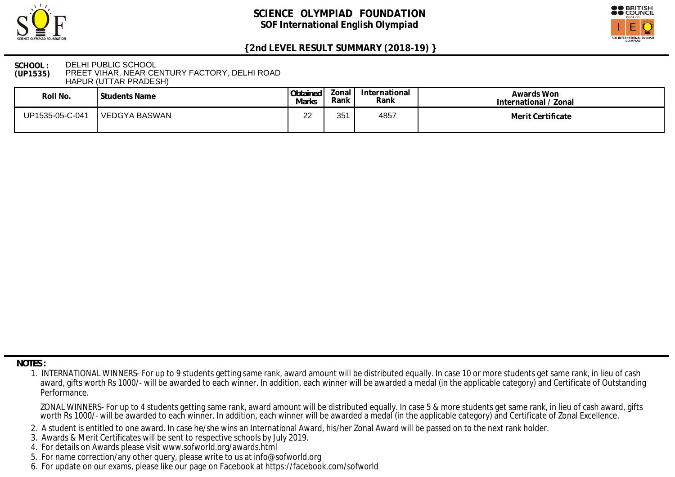



#### **SCHOOL : (UP1535)** DELHI PUBLIC SCHOOL PREET VIHAR, NEAR CENTURY FACTORY, DELHI ROAD HAPUR (UTTAR PRADESH)

| Roll No.        | l Students Name | Obtained<br>Marks | Zonal<br>Rank | International<br>Rank | Awards Won<br>International / Zonal |
|-----------------|-----------------|-------------------|---------------|-----------------------|-------------------------------------|
| UP1535-05-C-041 | l VEDGYA BASWAN | nn<br>▃▃          | 251<br>ືບປ່   | 4857                  | Merit Certificate                   |

 **NOTES :**

- 2. A student is entitled to one award. In case he/she wins an International Award, his/her Zonal Award will be passed on to the next rank holder.
- 3. Awards & Merit Certificates will be sent to respective schools by July 2019.
- 4. For details on Awards please visit www.sofworld.org/awards.html
- 5. For name correction/any other query, please write to us at info@sofworld.org
- 6. For update on our exams, please like our page on Facebook at https://facebook.com/sofworld

 <sup>1.</sup> INTERNATIONAL WINNERS- For up to 9 students getting same rank, award amount will be distributed equally. In case 10 or more students get same rank, in lieu of cash award, gifts worth Rs 1000/- will be awarded to each winner. In addition, each winner will be awarded a medal (in the applicable category) and Certificate of Outstanding Performance.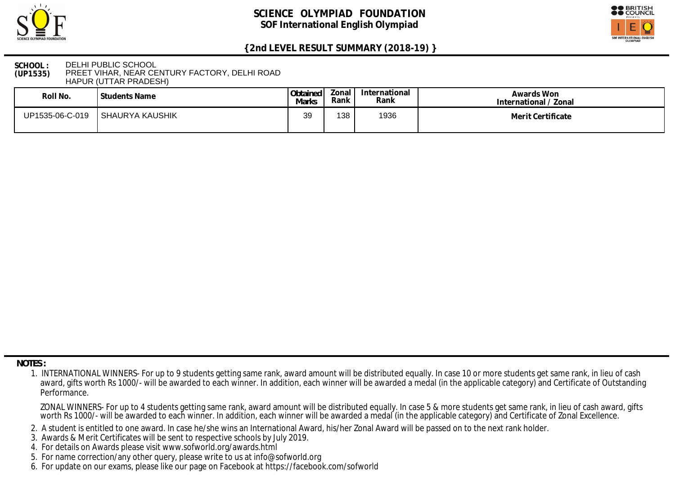



**SCHOOL : (UP1535)** DELHI PUBLIC SCHOOL PREET VIHAR, NEAR CENTURY FACTORY, DELHI ROAD HAPUR (UTTAR PRADESH)

| Roll No.        | Students Name   | Obtained<br>Marks | Zonal<br>Rank | International<br>Rank | Awards Won<br>International / Zonal |
|-----------------|-----------------|-------------------|---------------|-----------------------|-------------------------------------|
| UP1535-06-C-019 | SHAURYA KAUSHIK | 39                | 138           | 1936                  | Merit Certificate                   |

 **NOTES :**

- 2. A student is entitled to one award. In case he/she wins an International Award, his/her Zonal Award will be passed on to the next rank holder.
- 3. Awards & Merit Certificates will be sent to respective schools by July 2019.
- 4. For details on Awards please visit www.sofworld.org/awards.html
- 5. For name correction/any other query, please write to us at info@sofworld.org
- 6. For update on our exams, please like our page on Facebook at https://facebook.com/sofworld

 <sup>1.</sup> INTERNATIONAL WINNERS- For up to 9 students getting same rank, award amount will be distributed equally. In case 10 or more students get same rank, in lieu of cash award, gifts worth Rs 1000/- will be awarded to each winner. In addition, each winner will be awarded a medal (in the applicable category) and Certificate of Outstanding Performance.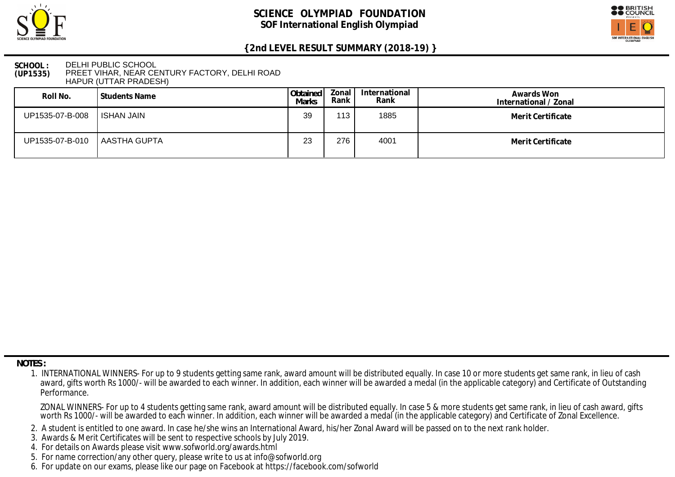



### **SCHOOL : (UP1535)** DELHI PUBLIC SCHOOL PREET VIHAR, NEAR CENTURY FACTORY, DELHI ROAD HAPUR (UTTAR PRADESH)

| Roll No.                       | l Students Name | Obtained<br>Marks | Zonal<br>Rank | International<br>Rank | Awards Won<br>International / Zonal |
|--------------------------------|-----------------|-------------------|---------------|-----------------------|-------------------------------------|
| UP1535-07-B-008                | ISHAN JAIN      | 39                | $113$ .       | 1885                  | Merit Certificate                   |
| UP1535-07-B-010   AASTHA GUPTA |                 | 23                | 276           | 4001                  | Merit Certificate                   |

 **NOTES :**

- 2. A student is entitled to one award. In case he/she wins an International Award, his/her Zonal Award will be passed on to the next rank holder.
- 3. Awards & Merit Certificates will be sent to respective schools by July 2019.
- 4. For details on Awards please visit www.sofworld.org/awards.html
- 5. For name correction/any other query, please write to us at info@sofworld.org
- 6. For update on our exams, please like our page on Facebook at https://facebook.com/sofworld

 <sup>1.</sup> INTERNATIONAL WINNERS- For up to 9 students getting same rank, award amount will be distributed equally. In case 10 or more students get same rank, in lieu of cash award, gifts worth Rs 1000/- will be awarded to each winner. In addition, each winner will be awarded a medal (in the applicable category) and Certificate of Outstanding Performance.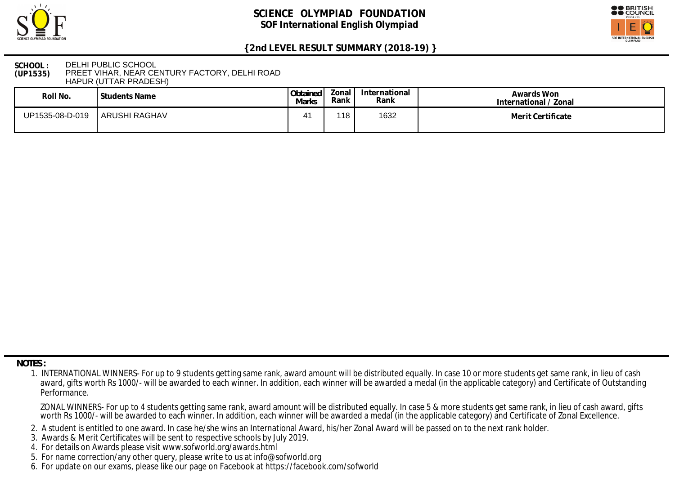



### **SCHOOL : (UP1535)** DELHI PUBLIC SCHOOL PREET VIHAR, NEAR CENTURY FACTORY, DELHI ROAD HAPUR (UTTAR PRADESH)

| Roll No.        | Students Name        | Obtained<br>Marks | onal!<br>Rank | International<br>Rank | Awards Won<br>International / Zonal |
|-----------------|----------------------|-------------------|---------------|-----------------------|-------------------------------------|
| UP1535-08-D-019 | <b>ARUSHI RAGHAV</b> | 4                 | 118           | 1632                  | Merit Certificate                   |

 **NOTES :**

- 2. A student is entitled to one award. In case he/she wins an International Award, his/her Zonal Award will be passed on to the next rank holder.
- 3. Awards & Merit Certificates will be sent to respective schools by July 2019.
- 4. For details on Awards please visit www.sofworld.org/awards.html
- 5. For name correction/any other query, please write to us at info@sofworld.org
- 6. For update on our exams, please like our page on Facebook at https://facebook.com/sofworld

 <sup>1.</sup> INTERNATIONAL WINNERS- For up to 9 students getting same rank, award amount will be distributed equally. In case 10 or more students get same rank, in lieu of cash award, gifts worth Rs 1000/- will be awarded to each winner. In addition, each winner will be awarded a medal (in the applicable category) and Certificate of Outstanding Performance.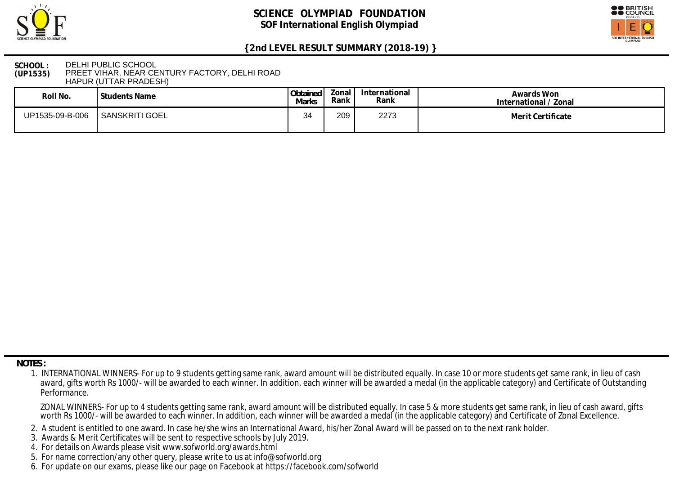



### **SCHOOL : (UP1535)** DELHI PUBLIC SCHOOL PREET VIHAR, NEAR CENTURY FACTORY, DELHI ROAD HAPUR (UTTAR PRADESH)

| Roll No.        | Students Name  | Obtained<br>Marks | onal .<br>Rank | International<br>Rank | Awards Won<br>International / Zonal |
|-----------------|----------------|-------------------|----------------|-----------------------|-------------------------------------|
| UP1535-09-B-006 | SANSKRITI GOEL | 34                | 209            | 2273                  | Merit Certificate                   |

 **NOTES :**

- 2. A student is entitled to one award. In case he/she wins an International Award, his/her Zonal Award will be passed on to the next rank holder.
- 3. Awards & Merit Certificates will be sent to respective schools by July 2019.
- 4. For details on Awards please visit www.sofworld.org/awards.html
- 5. For name correction/any other query, please write to us at info@sofworld.org
- 6. For update on our exams, please like our page on Facebook at https://facebook.com/sofworld

 <sup>1.</sup> INTERNATIONAL WINNERS- For up to 9 students getting same rank, award amount will be distributed equally. In case 10 or more students get same rank, in lieu of cash award, gifts worth Rs 1000/- will be awarded to each winner. In addition, each winner will be awarded a medal (in the applicable category) and Certificate of Outstanding Performance.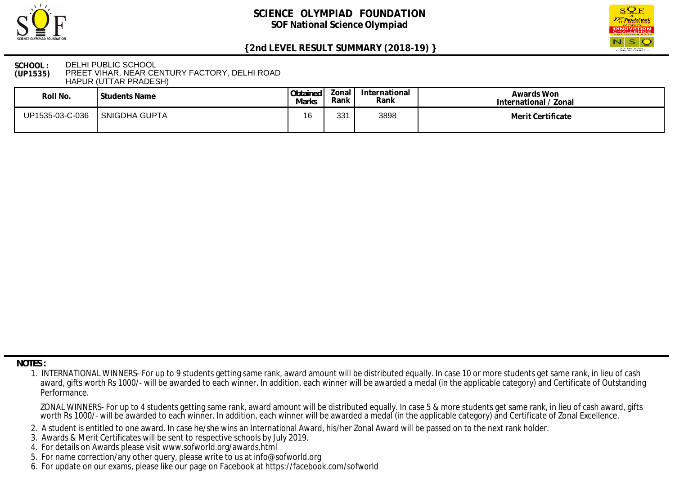



### **SCHOOL : (UP1535)** DELHI PUBLIC SCHOOL PREET VIHAR, NEAR CENTURY FACTORY, DELHI ROAD HAPUR (UTTAR PRADESH)

| Roll No.        | Students Name        | Obtained<br><b>Marks</b> | Zonal I<br>Rank | International<br>Rank | Awards Won<br>International / Zonal |
|-----------------|----------------------|--------------------------|-----------------|-----------------------|-------------------------------------|
| UP1535-03-C-036 | <b>SNIGDHA GUPTA</b> | 16                       | 331<br>ບບ       | 3898                  | Merit Certificate                   |

 **NOTES :**

- 2. A student is entitled to one award. In case he/she wins an International Award, his/her Zonal Award will be passed on to the next rank holder.
- 3. Awards & Merit Certificates will be sent to respective schools by July 2019.
- 4. For details on Awards please visit www.sofworld.org/awards.html
- 5. For name correction/any other query, please write to us at info@sofworld.org
- 6. For update on our exams, please like our page on Facebook at https://facebook.com/sofworld

 <sup>1.</sup> INTERNATIONAL WINNERS- For up to 9 students getting same rank, award amount will be distributed equally. In case 10 or more students get same rank, in lieu of cash award, gifts worth Rs 1000/- will be awarded to each winner. In addition, each winner will be awarded a medal (in the applicable category) and Certificate of Outstanding Performance.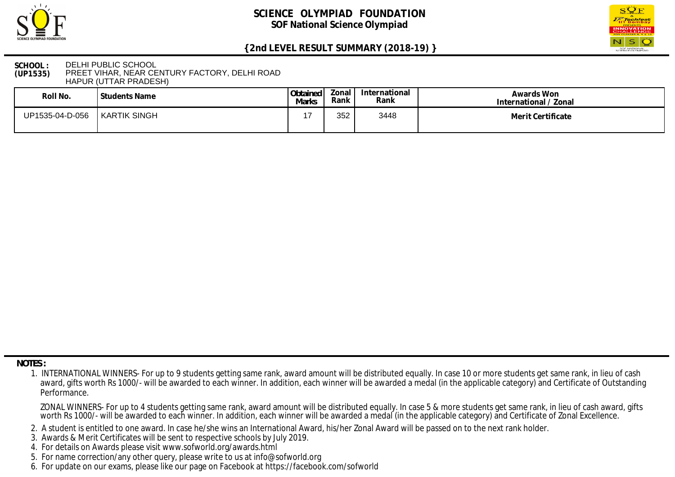



### **SCHOOL : (UP1535)** DELHI PUBLIC SCHOOL PREET VIHAR, NEAR CENTURY FACTORY, DELHI ROAD HAPUR (UTTAR PRADESH)

| Roll No.        | Students Name | Obtained<br>Marks | Zonal '<br>Rank | International<br>Rank | Awards Won<br>International / Zonal |
|-----------------|---------------|-------------------|-----------------|-----------------------|-------------------------------------|
| UP1535-04-D-056 | KARTIK SINGH  |                   | 352             | 3448                  | Merit Certificate                   |

 **NOTES :**

- 2. A student is entitled to one award. In case he/she wins an International Award, his/her Zonal Award will be passed on to the next rank holder.
- 3. Awards & Merit Certificates will be sent to respective schools by July 2019.
- 4. For details on Awards please visit www.sofworld.org/awards.html
- 5. For name correction/any other query, please write to us at info@sofworld.org
- 6. For update on our exams, please like our page on Facebook at https://facebook.com/sofworld

 <sup>1.</sup> INTERNATIONAL WINNERS- For up to 9 students getting same rank, award amount will be distributed equally. In case 10 or more students get same rank, in lieu of cash award, gifts worth Rs 1000/- will be awarded to each winner. In addition, each winner will be awarded a medal (in the applicable category) and Certificate of Outstanding Performance.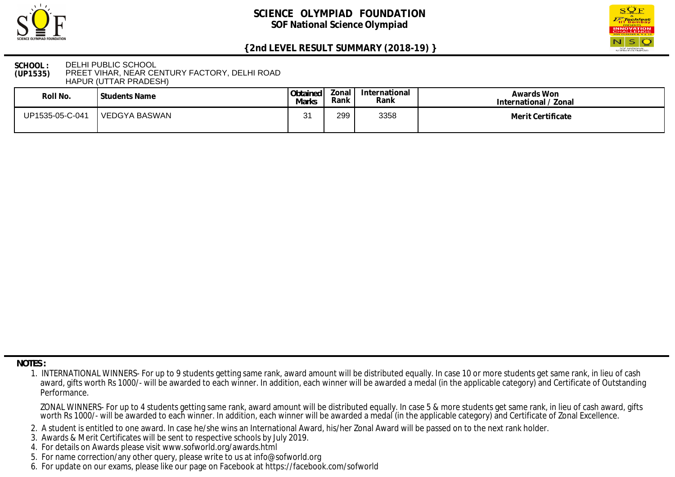



### **SCHOOL : (UP1535)** DELHI PUBLIC SCHOOL PREET VIHAR, NEAR CENTURY FACTORY, DELHI ROAD HAPUR (UTTAR PRADESH)

| Roll No.        | l Students Name | Obtained<br>Marks | Zonal<br>Rank | International<br>Rank | Awards Won<br>International / Zonal |
|-----------------|-----------------|-------------------|---------------|-----------------------|-------------------------------------|
| UP1535-05-C-041 | l VEDGYA BASWAN | n,<br>ັ           | 299           | 3358                  | Merit Certificate                   |

 **NOTES :**

- 2. A student is entitled to one award. In case he/she wins an International Award, his/her Zonal Award will be passed on to the next rank holder.
- 3. Awards & Merit Certificates will be sent to respective schools by July 2019.
- 4. For details on Awards please visit www.sofworld.org/awards.html
- 5. For name correction/any other query, please write to us at info@sofworld.org
- 6. For update on our exams, please like our page on Facebook at https://facebook.com/sofworld

 <sup>1.</sup> INTERNATIONAL WINNERS- For up to 9 students getting same rank, award amount will be distributed equally. In case 10 or more students get same rank, in lieu of cash award, gifts worth Rs 1000/- will be awarded to each winner. In addition, each winner will be awarded a medal (in the applicable category) and Certificate of Outstanding Performance.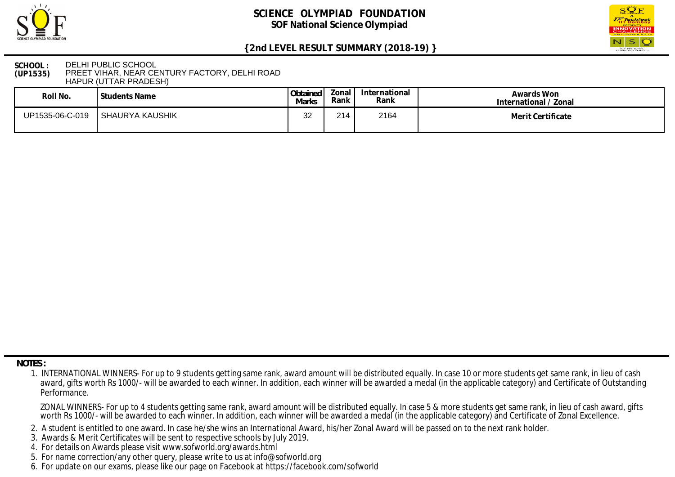



#### **SCHOOL : (UP1535)** DELHI PUBLIC SCHOOL PREET VIHAR, NEAR CENTURY FACTORY, DELHI ROAD HAPUR (UTTAR PRADESH)

| Roll No.        | ' Students Name | Obtained<br><b>Marks</b> | Zonal I<br>Rank | International<br>Rank | Awards Won<br>International / Zonal |
|-----------------|-----------------|--------------------------|-----------------|-----------------------|-------------------------------------|
| UP1535-06-C-019 | SHAURYA KAUSHIK | $\Omega$<br>ັ້           | 214             | 2164                  | Merit Certificate                   |

 **NOTES :**

- 2. A student is entitled to one award. In case he/she wins an International Award, his/her Zonal Award will be passed on to the next rank holder.
- 3. Awards & Merit Certificates will be sent to respective schools by July 2019.
- 4. For details on Awards please visit www.sofworld.org/awards.html
- 5. For name correction/any other query, please write to us at info@sofworld.org
- 6. For update on our exams, please like our page on Facebook at https://facebook.com/sofworld

 <sup>1.</sup> INTERNATIONAL WINNERS- For up to 9 students getting same rank, award amount will be distributed equally. In case 10 or more students get same rank, in lieu of cash award, gifts worth Rs 1000/- will be awarded to each winner. In addition, each winner will be awarded a medal (in the applicable category) and Certificate of Outstanding Performance.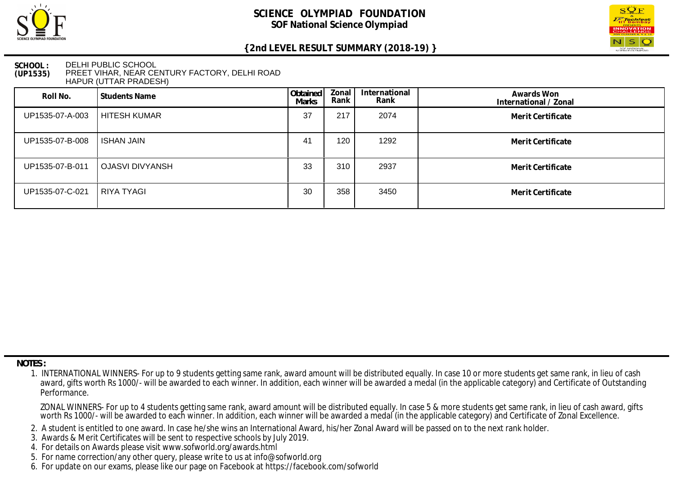



### **SCHOOL : (UP1535)** DELHI PUBLIC SCHOOL PREET VIHAR, NEAR CENTURY FACTORY, DELHI ROAD HAPUR (UTTAR PRADESH)

| Roll No.        | Students Name     | Obtained<br><b>Marks</b> | Zonal<br>Rank | International<br>Rank | Awards Won<br>International / Zonal |
|-----------------|-------------------|--------------------------|---------------|-----------------------|-------------------------------------|
| UP1535-07-A-003 | HITESH KUMAR      | 37                       | 217           | 2074                  | Merit Certificate                   |
| UP1535-07-B-008 | ISHAN JAIN        | 4 <sup>′</sup>           | 120           | 1292                  | Merit Certificate                   |
| UP1535-07-B-011 | OJASVI DIVYANSH   | 33                       | 310           | 2937                  | Merit Certificate                   |
| UP1535-07-C-021 | <b>RIYA TYAGI</b> | 30                       | 358           | 3450                  | Merit Certificate                   |

 **NOTES :**

- 2. A student is entitled to one award. In case he/she wins an International Award, his/her Zonal Award will be passed on to the next rank holder.
- 3. Awards & Merit Certificates will be sent to respective schools by July 2019.
- 4. For details on Awards please visit www.sofworld.org/awards.html
- 5. For name correction/any other query, please write to us at info@sofworld.org
- 6. For update on our exams, please like our page on Facebook at https://facebook.com/sofworld

 <sup>1.</sup> INTERNATIONAL WINNERS- For up to 9 students getting same rank, award amount will be distributed equally. In case 10 or more students get same rank, in lieu of cash award, gifts worth Rs 1000/- will be awarded to each winner. In addition, each winner will be awarded a medal (in the applicable category) and Certificate of Outstanding Performance.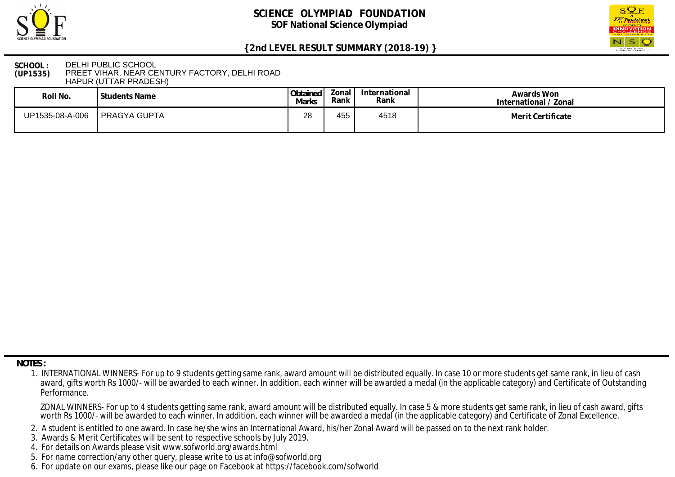



### **SCHOOL : (UP1535)** DELHI PUBLIC SCHOOL PREET VIHAR, NEAR CENTURY FACTORY, DELHI ROAD HAPUR (UTTAR PRADESH)

| Roll No.        | Students Name | Obtained<br>Marks | Zonal<br>Rank | International<br>Rank | Awards Won<br>International / Zonal |
|-----------------|---------------|-------------------|---------------|-----------------------|-------------------------------------|
| UP1535-08-A-006 | PRAGYA GUPTA  | 28                | 455           | 4518                  | Merit Certificate                   |

 **NOTES :**

- 2. A student is entitled to one award. In case he/she wins an International Award, his/her Zonal Award will be passed on to the next rank holder.
- 3. Awards & Merit Certificates will be sent to respective schools by July 2019.
- 4. For details on Awards please visit www.sofworld.org/awards.html
- 5. For name correction/any other query, please write to us at info@sofworld.org
- 6. For update on our exams, please like our page on Facebook at https://facebook.com/sofworld

 <sup>1.</sup> INTERNATIONAL WINNERS- For up to 9 students getting same rank, award amount will be distributed equally. In case 10 or more students get same rank, in lieu of cash award, gifts worth Rs 1000/- will be awarded to each winner. In addition, each winner will be awarded a medal (in the applicable category) and Certificate of Outstanding Performance.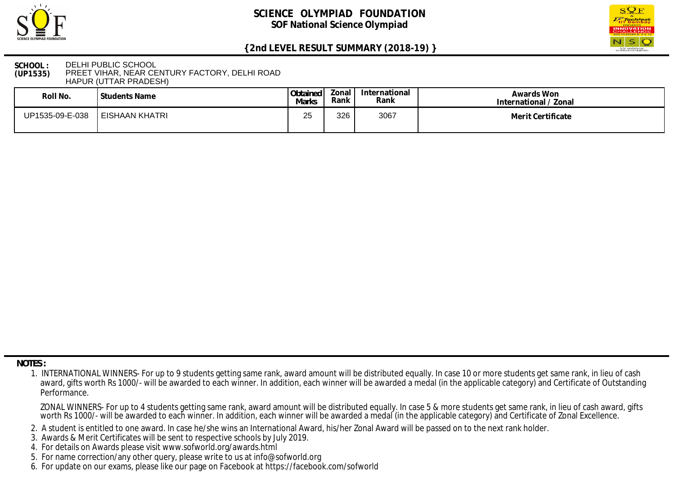



### **SCHOOL : (UP1535)** DELHI PUBLIC SCHOOL PREET VIHAR, NEAR CENTURY FACTORY, DELHI ROAD HAPUR (UTTAR PRADESH)

| Roll No.        | Students Name  | Obtained<br>Marks | onal!<br>Rank | International<br>Rank | Awards Won<br>International / Zonal |
|-----------------|----------------|-------------------|---------------|-----------------------|-------------------------------------|
| UP1535-09-E-038 | EISHAAN KHATRI | つに<br>∠J          | 326           | 3067                  | Merit Certificate                   |

 **NOTES :**

- 2. A student is entitled to one award. In case he/she wins an International Award, his/her Zonal Award will be passed on to the next rank holder.
- 3. Awards & Merit Certificates will be sent to respective schools by July 2019.
- 4. For details on Awards please visit www.sofworld.org/awards.html
- 5. For name correction/any other query, please write to us at info@sofworld.org
- 6. For update on our exams, please like our page on Facebook at https://facebook.com/sofworld

 <sup>1.</sup> INTERNATIONAL WINNERS- For up to 9 students getting same rank, award amount will be distributed equally. In case 10 or more students get same rank, in lieu of cash award, gifts worth Rs 1000/- will be awarded to each winner. In addition, each winner will be awarded a medal (in the applicable category) and Certificate of Outstanding Performance.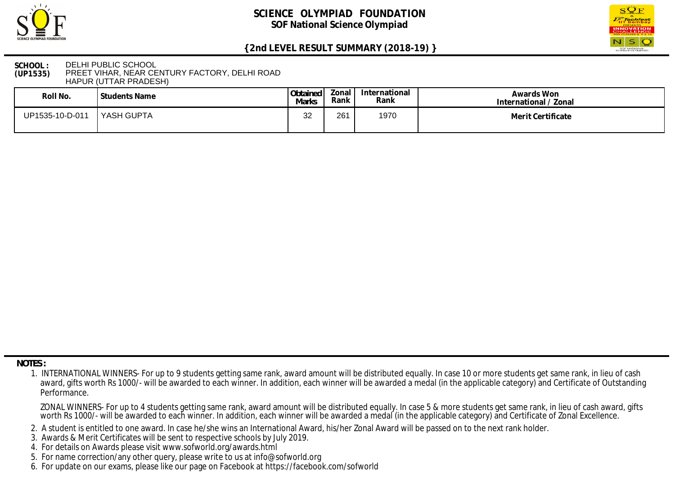



### **SCHOOL : (UP1535)** DELHI PUBLIC SCHOOL PREET VIHAR, NEAR CENTURY FACTORY, DELHI ROAD HAPUR (UTTAR PRADESH)

| Roll No.        | Students Name | Obtained<br><b>Marks</b> | Zonal I<br>Rank | International<br>Rank | Awards Won<br>International / Zonal |
|-----------------|---------------|--------------------------|-----------------|-----------------------|-------------------------------------|
| UP1535-10-D-011 | 'YASH GUPTA   | າາ<br>ັ້                 | 261             | 1970                  | Merit Certificate                   |

 **NOTES :**

- 2. A student is entitled to one award. In case he/she wins an International Award, his/her Zonal Award will be passed on to the next rank holder.
- 3. Awards & Merit Certificates will be sent to respective schools by July 2019.
- 4. For details on Awards please visit www.sofworld.org/awards.html
- 5. For name correction/any other query, please write to us at info@sofworld.org
- 6. For update on our exams, please like our page on Facebook at https://facebook.com/sofworld

 <sup>1.</sup> INTERNATIONAL WINNERS- For up to 9 students getting same rank, award amount will be distributed equally. In case 10 or more students get same rank, in lieu of cash award, gifts worth Rs 1000/- will be awarded to each winner. In addition, each winner will be awarded a medal (in the applicable category) and Certificate of Outstanding Performance.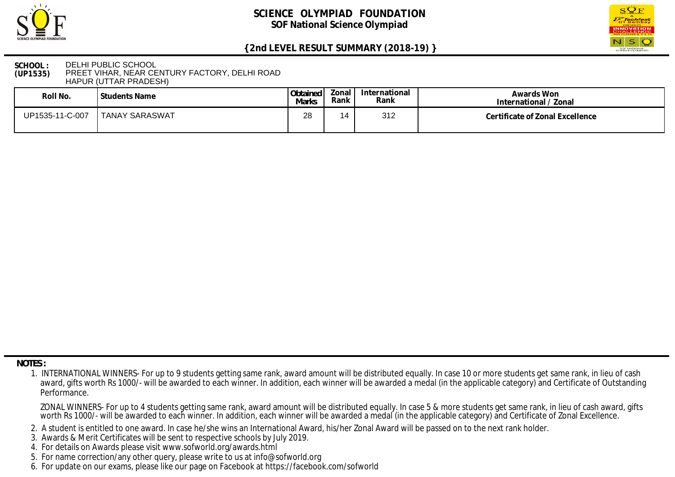



#### **SCHOOL : (UP1535)** DELHI PUBLIC SCHOOL PREET VIHAR, NEAR CENTURY FACTORY, DELHI ROAD HAPUR (UTTAR PRADESH)

| Roll No.        | Students Name         | Obtained<br><b>Marks</b> | Zonal<br>Rank | International<br>Rank | Awards Won<br>International / Zonal |
|-----------------|-----------------------|--------------------------|---------------|-----------------------|-------------------------------------|
| UP1535-11-C-007 | <b>TANAY SARASWAT</b> | 28                       |               | 312                   | Certificate of Zonal Excellence     |

 **NOTES :**

- 2. A student is entitled to one award. In case he/she wins an International Award, his/her Zonal Award will be passed on to the next rank holder.
- 3. Awards & Merit Certificates will be sent to respective schools by July 2019.
- 4. For details on Awards please visit www.sofworld.org/awards.html
- 5. For name correction/any other query, please write to us at info@sofworld.org
- 6. For update on our exams, please like our page on Facebook at https://facebook.com/sofworld

 <sup>1.</sup> INTERNATIONAL WINNERS- For up to 9 students getting same rank, award amount will be distributed equally. In case 10 or more students get same rank, in lieu of cash award, gifts worth Rs 1000/- will be awarded to each winner. In addition, each winner will be awarded a medal (in the applicable category) and Certificate of Outstanding Performance.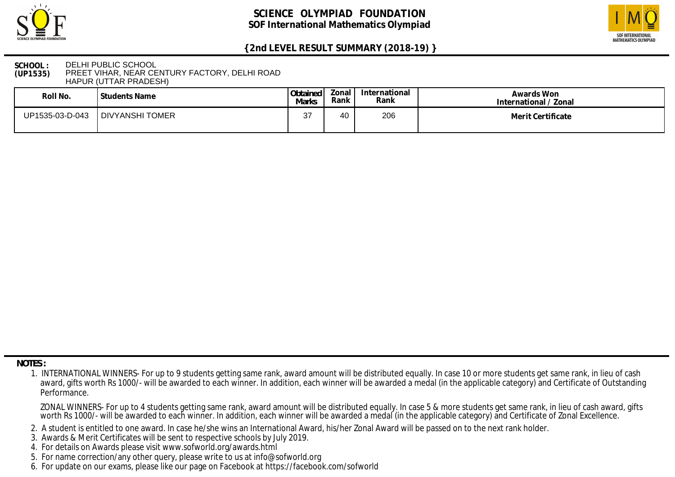



### **SCHOOL : (UP1535)** DELHI PUBLIC SCHOOL PREET VIHAR, NEAR CENTURY FACTORY, DELHI ROAD HAPUR (UTTAR PRADESH)

| Roll No.        | <b>Students Name</b> | Obtained<br>Marks | Zonal<br>Rank | International<br>Rank | Awards Won<br>International / Zonal |
|-----------------|----------------------|-------------------|---------------|-----------------------|-------------------------------------|
| UP1535-03-D-043 | DIVYANSHI TOMER      | דפ<br>ັ           | 40            | 206                   | Merit Certificate                   |

 **NOTES :**

- 2. A student is entitled to one award. In case he/she wins an International Award, his/her Zonal Award will be passed on to the next rank holder.
- 3. Awards & Merit Certificates will be sent to respective schools by July 2019.
- 4. For details on Awards please visit www.sofworld.org/awards.html
- 5. For name correction/any other query, please write to us at info@sofworld.org
- 6. For update on our exams, please like our page on Facebook at https://facebook.com/sofworld

 <sup>1.</sup> INTERNATIONAL WINNERS- For up to 9 students getting same rank, award amount will be distributed equally. In case 10 or more students get same rank, in lieu of cash award, gifts worth Rs 1000/- will be awarded to each winner. In addition, each winner will be awarded a medal (in the applicable category) and Certificate of Outstanding Performance.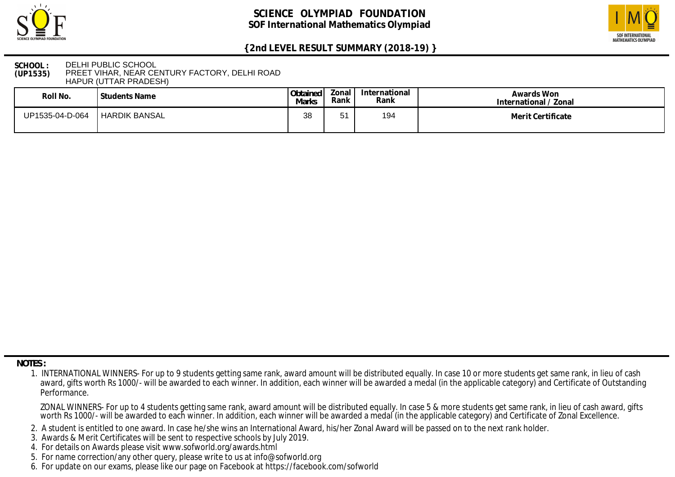



### **SCHOOL : (UP1535)** DELHI PUBLIC SCHOOL PREET VIHAR, NEAR CENTURY FACTORY, DELHI ROAD HAPUR (UTTAR PRADESH)

| Roll No.        | Students Name   | Obtained<br>Marks | Zonal i<br>Rank | International<br>Rank | Awards Won<br>International / Zonal |
|-----------------|-----------------|-------------------|-----------------|-----------------------|-------------------------------------|
| UP1535-04-D-064 | I HARDIK BANSAL | 38                |                 | 194                   | Merit Certificate                   |

 **NOTES :**

- 2. A student is entitled to one award. In case he/she wins an International Award, his/her Zonal Award will be passed on to the next rank holder.
- 3. Awards & Merit Certificates will be sent to respective schools by July 2019.
- 4. For details on Awards please visit www.sofworld.org/awards.html
- 5. For name correction/any other query, please write to us at info@sofworld.org
- 6. For update on our exams, please like our page on Facebook at https://facebook.com/sofworld

 <sup>1.</sup> INTERNATIONAL WINNERS- For up to 9 students getting same rank, award amount will be distributed equally. In case 10 or more students get same rank, in lieu of cash award, gifts worth Rs 1000/- will be awarded to each winner. In addition, each winner will be awarded a medal (in the applicable category) and Certificate of Outstanding Performance.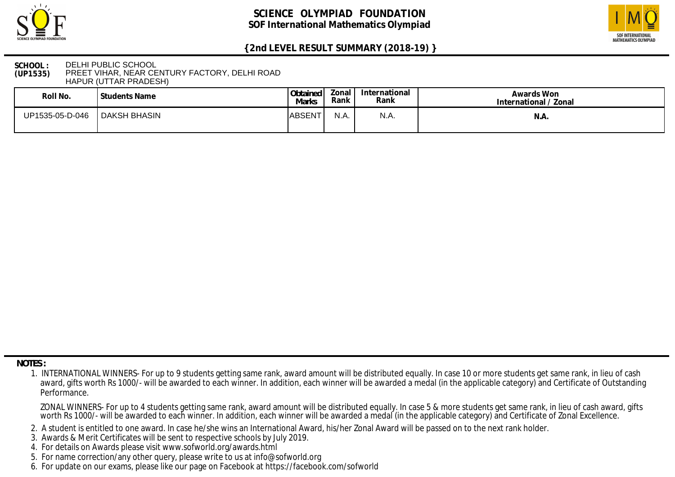



### **SCHOOL : (UP1535)** DELHI PUBLIC SCHOOL PREET VIHAR, NEAR CENTURY FACTORY, DELHI ROAD HAPUR (UTTAR PRADESH)

| Roll No.        | <sup>I</sup> Students Name | Obtained<br>Marks | Zonal<br>Rank | International<br>Rank | Awards Won<br>International / Zonal |
|-----------------|----------------------------|-------------------|---------------|-----------------------|-------------------------------------|
| UP1535-05-D-046 | DAKSH BHASIN               | <b>IABSENT</b>    | N.A.          | N.A                   | N.A                                 |

 **NOTES :**

- 2. A student is entitled to one award. In case he/she wins an International Award, his/her Zonal Award will be passed on to the next rank holder.
- 3. Awards & Merit Certificates will be sent to respective schools by July 2019.
- 4. For details on Awards please visit www.sofworld.org/awards.html
- 5. For name correction/any other query, please write to us at info@sofworld.org
- 6. For update on our exams, please like our page on Facebook at https://facebook.com/sofworld

 <sup>1.</sup> INTERNATIONAL WINNERS- For up to 9 students getting same rank, award amount will be distributed equally. In case 10 or more students get same rank, in lieu of cash award, gifts worth Rs 1000/- will be awarded to each winner. In addition, each winner will be awarded a medal (in the applicable category) and Certificate of Outstanding Performance.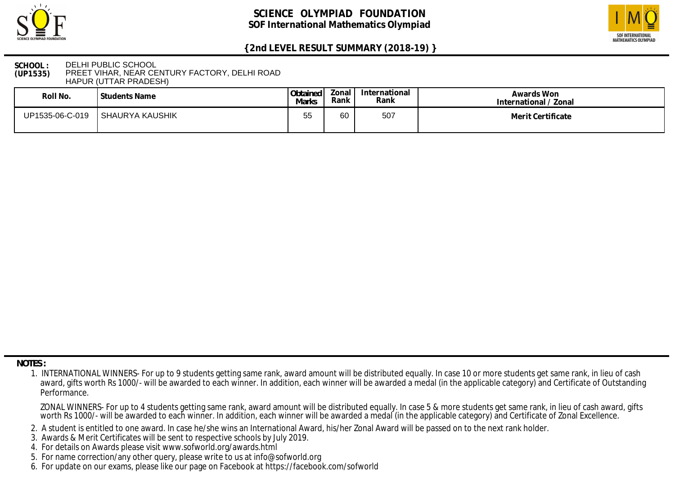



### **SCHOOL : (UP1535)** DELHI PUBLIC SCHOOL PREET VIHAR, NEAR CENTURY FACTORY, DELHI ROAD HAPUR (UTTAR PRADESH)

| Roll No.        | l Students Name | Obtained<br>Marks | Zonal<br>Rank | International<br>Rank | Awards Won<br>International / Zonal |
|-----------------|-----------------|-------------------|---------------|-----------------------|-------------------------------------|
| UP1535-06-C-019 | SHAURYA KAUSHIK | 55                | 60            | 507                   | Merit Certificate                   |

 **NOTES :**

- 2. A student is entitled to one award. In case he/she wins an International Award, his/her Zonal Award will be passed on to the next rank holder.
- 3. Awards & Merit Certificates will be sent to respective schools by July 2019.
- 4. For details on Awards please visit www.sofworld.org/awards.html
- 5. For name correction/any other query, please write to us at info@sofworld.org
- 6. For update on our exams, please like our page on Facebook at https://facebook.com/sofworld

 <sup>1.</sup> INTERNATIONAL WINNERS- For up to 9 students getting same rank, award amount will be distributed equally. In case 10 or more students get same rank, in lieu of cash award, gifts worth Rs 1000/- will be awarded to each winner. In addition, each winner will be awarded a medal (in the applicable category) and Certificate of Outstanding Performance.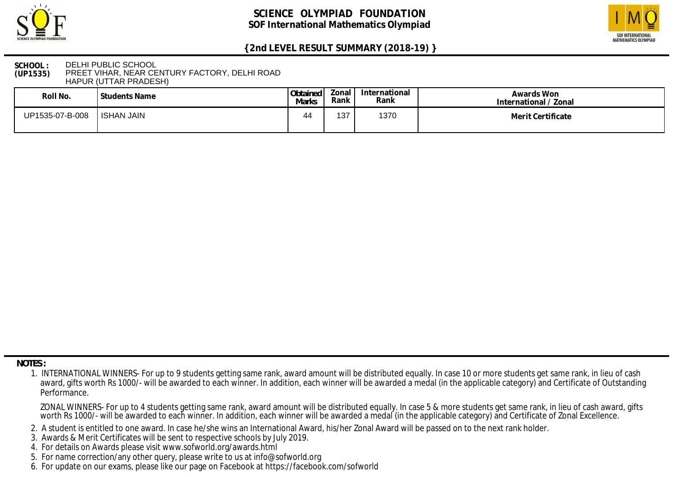



### **SCHOOL : (UP1535)** DELHI PUBLIC SCHOOL PREET VIHAR, NEAR CENTURY FACTORY, DELHI ROAD HAPUR (UTTAR PRADESH)

| Roll No.        | <b>Students Name</b> | Obtained<br>Marks | Zonal<br>Rank | International<br>Rank | Awards Won<br>International / Zonal |
|-----------------|----------------------|-------------------|---------------|-----------------------|-------------------------------------|
| UP1535-07-B-008 | <b>ISHAN JAIN</b>    | 44                | 137           | 1370                  | Merit Certificate                   |

 **NOTES :**

- 2. A student is entitled to one award. In case he/she wins an International Award, his/her Zonal Award will be passed on to the next rank holder.
- 3. Awards & Merit Certificates will be sent to respective schools by July 2019.
- 4. For details on Awards please visit www.sofworld.org/awards.html
- 5. For name correction/any other query, please write to us at info@sofworld.org
- 6. For update on our exams, please like our page on Facebook at https://facebook.com/sofworld

 <sup>1.</sup> INTERNATIONAL WINNERS- For up to 9 students getting same rank, award amount will be distributed equally. In case 10 or more students get same rank, in lieu of cash award, gifts worth Rs 1000/- will be awarded to each winner. In addition, each winner will be awarded a medal (in the applicable category) and Certificate of Outstanding Performance.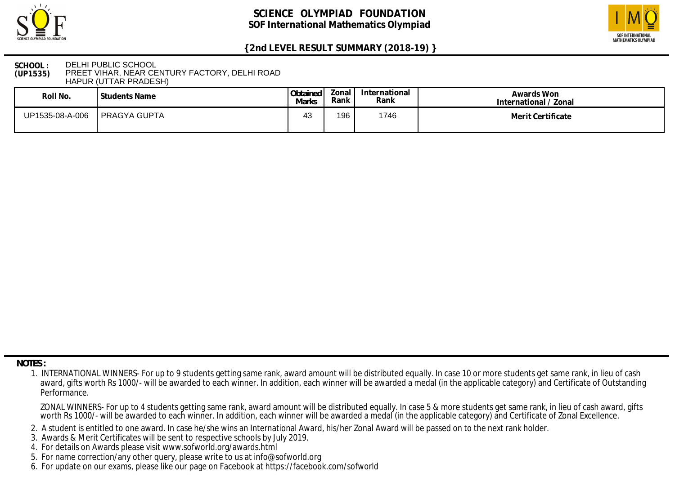



### **SCHOOL : (UP1535)** DELHI PUBLIC SCHOOL PREET VIHAR, NEAR CENTURY FACTORY, DELHI ROAD HAPUR (UTTAR PRADESH)

| Roll No.        | ' Students Name     | Obtained<br>Marks | onal?<br>Rank | International<br>Rank | Awards Won<br>International / Zonal |
|-----------------|---------------------|-------------------|---------------|-----------------------|-------------------------------------|
| UP1535-08-A-006 | <b>PRAGYA GUPTA</b> | 43                | 196           | 1746                  | Merit Certificate                   |

 **NOTES :**

- 2. A student is entitled to one award. In case he/she wins an International Award, his/her Zonal Award will be passed on to the next rank holder.
- 3. Awards & Merit Certificates will be sent to respective schools by July 2019.
- 4. For details on Awards please visit www.sofworld.org/awards.html
- 5. For name correction/any other query, please write to us at info@sofworld.org
- 6. For update on our exams, please like our page on Facebook at https://facebook.com/sofworld

 <sup>1.</sup> INTERNATIONAL WINNERS- For up to 9 students getting same rank, award amount will be distributed equally. In case 10 or more students get same rank, in lieu of cash award, gifts worth Rs 1000/- will be awarded to each winner. In addition, each winner will be awarded a medal (in the applicable category) and Certificate of Outstanding Performance.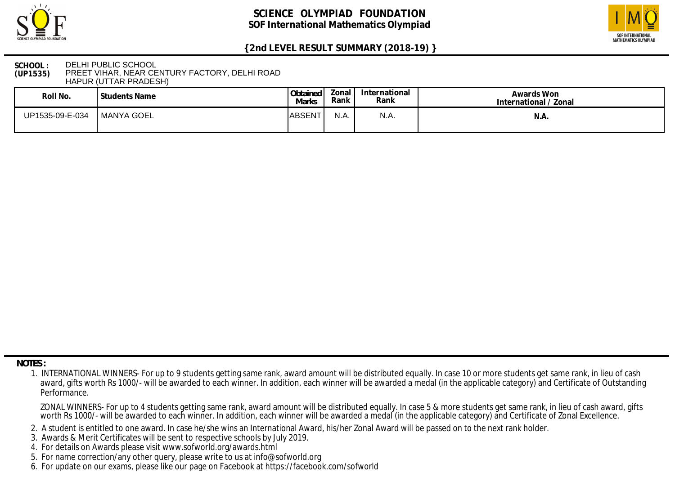



### **SCHOOL : (UP1535)** DELHI PUBLIC SCHOOL PREET VIHAR, NEAR CENTURY FACTORY, DELHI ROAD HAPUR (UTTAR PRADESH)

| Roll No.        | Students Name       | Obtained<br>Marks | Zonal<br>Rank | International<br>Rank | Awards Won<br>International / Zonal |
|-----------------|---------------------|-------------------|---------------|-----------------------|-------------------------------------|
| UP1535-09-E-034 | <b>I MANYA GOEL</b> | <b>ABSENT</b>     | N.A.          | N.A.                  | N.A.                                |

 **NOTES :**

- 2. A student is entitled to one award. In case he/she wins an International Award, his/her Zonal Award will be passed on to the next rank holder.
- 3. Awards & Merit Certificates will be sent to respective schools by July 2019.
- 4. For details on Awards please visit www.sofworld.org/awards.html
- 5. For name correction/any other query, please write to us at info@sofworld.org
- 6. For update on our exams, please like our page on Facebook at https://facebook.com/sofworld

 <sup>1.</sup> INTERNATIONAL WINNERS- For up to 9 students getting same rank, award amount will be distributed equally. In case 10 or more students get same rank, in lieu of cash award, gifts worth Rs 1000/- will be awarded to each winner. In addition, each winner will be awarded a medal (in the applicable category) and Certificate of Outstanding Performance.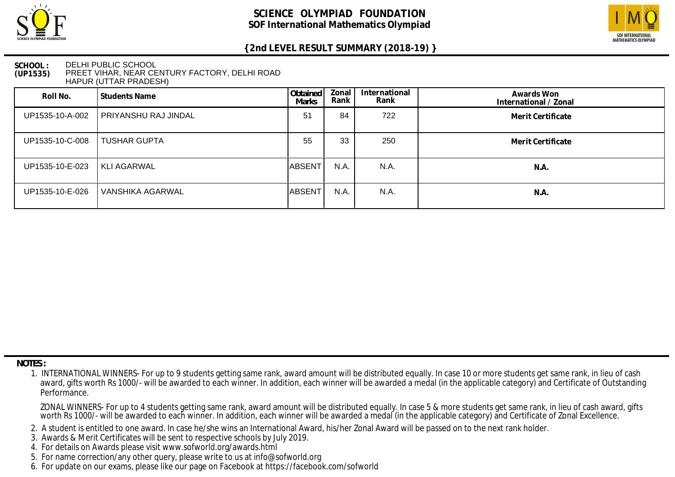



### **SCHOOL : (UP1535)** DELHI PUBLIC SCHOOL PREET VIHAR, NEAR CENTURY FACTORY, DELHI ROAD HAPUR (UTTAR PRADESH)

| Roll No.        | <b>Students Name</b> | Obtained<br><b>Marks</b> | Zonal<br>Rank | International<br>Rank | Awards Won<br>International / Zonal |
|-----------------|----------------------|--------------------------|---------------|-----------------------|-------------------------------------|
| UP1535-10-A-002 | PRIYANSHU RAJ JINDAL | 51                       | 84            | 722                   | Merit Certificate                   |
| UP1535-10-C-008 | <b>TUSHAR GUPTA</b>  | 55                       | 33            | 250                   | Merit Certificate                   |
| UP1535-10-E-023 | <b>KLI AGARWAL</b>   | ABSENT                   | N.A.          | N.A.                  | N.A.                                |
| UP1535-10-E-026 | VANSHIKA AGARWAL     | <b>ABSENT</b>            | N.A.          | N.A.                  | N.A.                                |

 **NOTES :**

- 2. A student is entitled to one award. In case he/she wins an International Award, his/her Zonal Award will be passed on to the next rank holder.
- 3. Awards & Merit Certificates will be sent to respective schools by July 2019.
- 4. For details on Awards please visit www.sofworld.org/awards.html
- 5. For name correction/any other query, please write to us at info@sofworld.org
- 6. For update on our exams, please like our page on Facebook at https://facebook.com/sofworld

 <sup>1.</sup> INTERNATIONAL WINNERS- For up to 9 students getting same rank, award amount will be distributed equally. In case 10 or more students get same rank, in lieu of cash award, gifts worth Rs 1000/- will be awarded to each winner. In addition, each winner will be awarded a medal (in the applicable category) and Certificate of Outstanding Performance.